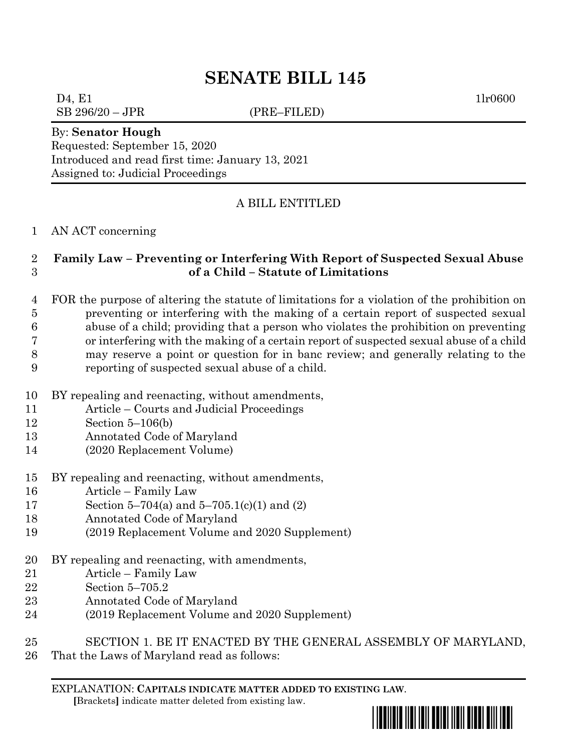# **SENATE BILL 145**

 $D4, E1$  1lr0600 SB 296/20 – JPR (PRE–FILED)

By: **Senator Hough**

Requested: September 15, 2020 Introduced and read first time: January 13, 2021 Assigned to: Judicial Proceedings

### A BILL ENTITLED

AN ACT concerning

#### **Family Law – Preventing or Interfering With Report of Suspected Sexual Abuse of a Child – Statute of Limitations**

 FOR the purpose of altering the statute of limitations for a violation of the prohibition on preventing or interfering with the making of a certain report of suspected sexual abuse of a child; providing that a person who violates the prohibition on preventing or interfering with the making of a certain report of suspected sexual abuse of a child may reserve a point or question for in banc review; and generally relating to the reporting of suspected sexual abuse of a child.

- BY repealing and reenacting, without amendments,
- Article Courts and Judicial Proceedings
- Section 5–106(b)
- Annotated Code of Maryland
- (2020 Replacement Volume)
- BY repealing and reenacting, without amendments,
- Article Family Law
- Section 5–704(a) and 5–705.1(c)(1) and (2)
- Annotated Code of Maryland
- (2019 Replacement Volume and 2020 Supplement)
- BY repealing and reenacting, with amendments,
- Article Family Law
- Section 5–705.2
- Annotated Code of Maryland
- (2019 Replacement Volume and 2020 Supplement)
- SECTION 1. BE IT ENACTED BY THE GENERAL ASSEMBLY OF MARYLAND,
- That the Laws of Maryland read as follows:

<u>\*sb0145\*sb145\*sb145\*sb145\*sb1</u>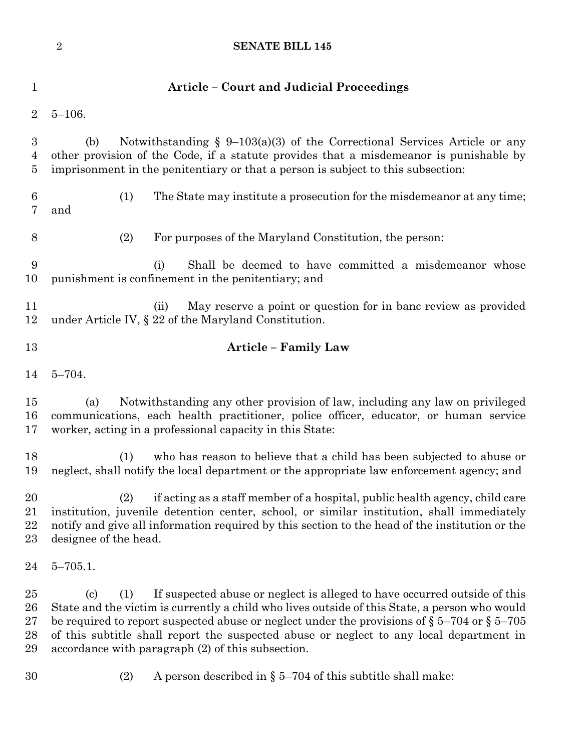|                                   | <b>SENATE BILL 145</b><br>$\boldsymbol{2}$                                                                                                                                                                                                                                                                                                                                                                                                                           |
|-----------------------------------|----------------------------------------------------------------------------------------------------------------------------------------------------------------------------------------------------------------------------------------------------------------------------------------------------------------------------------------------------------------------------------------------------------------------------------------------------------------------|
| $\mathbf 1$                       | <b>Article – Court and Judicial Proceedings</b>                                                                                                                                                                                                                                                                                                                                                                                                                      |
| $\overline{2}$                    | $5 - 106.$                                                                                                                                                                                                                                                                                                                                                                                                                                                           |
| 3<br>$\overline{4}$<br>5          | Notwithstanding $\S$ 9-103(a)(3) of the Correctional Services Article or any<br>(b)<br>other provision of the Code, if a statute provides that a misdemeanor is punishable by<br>imprisonment in the penitentiary or that a person is subject to this subsection:                                                                                                                                                                                                    |
| $6\phantom{.}6$<br>$\overline{7}$ | (1)<br>The State may institute a prosecution for the misdemean or at any time;<br>and                                                                                                                                                                                                                                                                                                                                                                                |
| 8                                 | (2)<br>For purposes of the Maryland Constitution, the person:                                                                                                                                                                                                                                                                                                                                                                                                        |
| 9<br>10                           | Shall be deemed to have committed a misdemeanor whose<br>(i)<br>punishment is confinement in the penitentiary; and                                                                                                                                                                                                                                                                                                                                                   |
| 11<br>12                          | May reserve a point or question for in banc review as provided<br>(ii)<br>under Article IV, $\S 22$ of the Maryland Constitution.                                                                                                                                                                                                                                                                                                                                    |
| 13                                | <b>Article - Family Law</b>                                                                                                                                                                                                                                                                                                                                                                                                                                          |
| 14                                | $5 - 704.$                                                                                                                                                                                                                                                                                                                                                                                                                                                           |
| 15<br>16<br>17                    | Notwithstanding any other provision of law, including any law on privileged<br>(a)<br>communications, each health practitioner, police officer, educator, or human service<br>worker, acting in a professional capacity in this State:                                                                                                                                                                                                                               |
| 18<br>19                          | who has reason to believe that a child has been subjected to abuse or<br>(1)<br>neglect, shall notify the local department or the appropriate law enforcement agency; and                                                                                                                                                                                                                                                                                            |
| 20<br>21<br>22<br>23              | if acting as a staff member of a hospital, public health agency, child care<br>(2)<br>institution, juvenile detention center, school, or similar institution, shall immediately<br>notify and give all information required by this section to the head of the institution or the<br>designee of the head.                                                                                                                                                           |
| 24                                | $5 - 705.1$ .                                                                                                                                                                                                                                                                                                                                                                                                                                                        |
| 25<br>26<br>27<br>28<br>29        | If suspected abuse or neglect is alleged to have occurred outside of this<br>$\left( \mathrm{c}\right)$<br>(1)<br>State and the victim is currently a child who lives outside of this State, a person who would<br>be required to report suspected abuse or neglect under the provisions of $\S 5-704$ or $\S 5-705$<br>of this subtitle shall report the suspected abuse or neglect to any local department in<br>accordance with paragraph (2) of this subsection. |
| 30                                | A person described in $\S 5-704$ of this subtitle shall make:<br>(2)                                                                                                                                                                                                                                                                                                                                                                                                 |